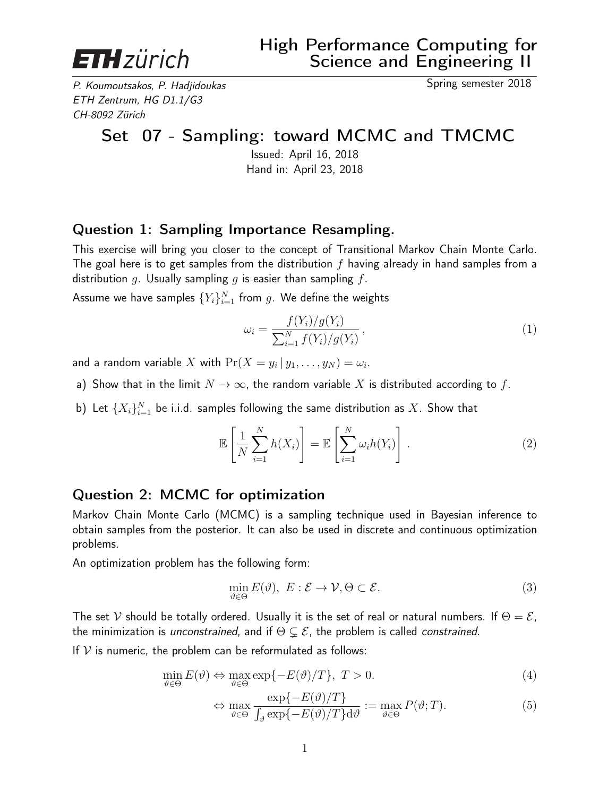

P. Koumoutsakos, P. Hadjidoukas Spring semester 2018 ETH Zentrum, HG D1.1/G3 CH-8092 Zürich

# Set 07 - Sampling: toward MCMC and TMCMC

Issued: April 16, 2018 Hand in: April 23, 2018

## Question 1: Sampling Importance Resampling.

This exercise will bring you closer to the concept of Transitional Markov Chain Monte Carlo. The goal here is to get samples from the distribution  $f$  having already in hand samples from a distribution  $g$ . Usually sampling  $g$  is easier than sampling  $f$ .

Assume we have samples  $\{Y_i\}_{i=1}^N$  from  $g.$  We define the weights

$$
\omega_i = \frac{f(Y_i)/g(Y_i)}{\sum_{i=1}^N f(Y_i)/g(Y_i)},
$$
\n(1)

and a random variable  $X$  with  $\Pr(X = y_i \, | \, y_1, \ldots, y_N) = \omega_i.$ 

- a) Show that in the limit  $N \to \infty$ , the random variable X is distributed according to f.
- b) Let  $\{X_i\}_{i=1}^N$  be i.i.d. samples following the same distribution as  $X.$  Show that

$$
\mathbb{E}\left[\frac{1}{N}\sum_{i=1}^{N}h(X_i)\right] = \mathbb{E}\left[\sum_{i=1}^{N}\omega_i h(Y_i)\right].
$$
\n(2)

## Question 2: MCMC for optimization

Markov Chain Monte Carlo (MCMC) is a sampling technique used in Bayesian inference to obtain samples from the posterior. It can also be used in discrete and continuous optimization problems.

An optimization problem has the following form:

<span id="page-0-0"></span>
$$
\min_{\vartheta \in \Theta} E(\vartheta), \ E: \mathcal{E} \to \mathcal{V}, \Theta \subset \mathcal{E}.
$$
\n(3)

The set V should be totally ordered. Usually it is the set of real or natural numbers. If  $\Theta = \mathcal{E}$ , the minimization is *unconstrained*, and if  $\Theta \subsetneq \mathcal{E}$ , the problem is called *constrained*.

If  $V$  is numeric, the problem can be reformulated as follows:

$$
\min_{\vartheta \in \Theta} E(\vartheta) \Leftrightarrow \max_{\vartheta \in \Theta} \exp\{-E(\vartheta)/T\}, \ T > 0. \tag{4}
$$

$$
\Leftrightarrow \max_{\vartheta \in \Theta} \frac{\exp\{-E(\vartheta)/T\}}{\int_{\vartheta} \exp\{-E(\vartheta)/T\} d\vartheta} := \max_{\vartheta \in \Theta} P(\vartheta; T). \tag{5}
$$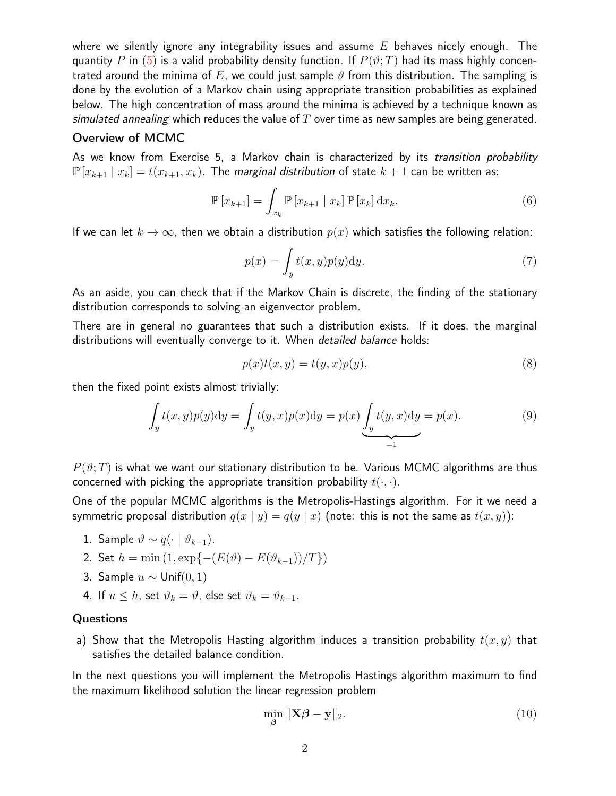where we silently ignore any integrability issues and assume  $E$  behaves nicely enough. The quantity P in [\(5\)](#page-0-0) is a valid probability density function. If  $P(\vartheta;T)$  had its mass highly concentrated around the minima of E, we could just sample  $\vartheta$  from this distribution. The sampling is done by the evolution of a Markov chain using appropriate transition probabilities as explained below. The high concentration of mass around the minima is achieved by a technique known as simulated annealing which reduces the value of  $T$  over time as new samples are being generated.

#### Overview of MCMC

As we know from Exercise 5, a Markov chain is characterized by its transition probability  $\mathbb{P}[x_{k+1} | x_k] = t(x_{k+1}, x_k)$ . The *marginal distribution* of state  $k+1$  can be written as:

$$
\mathbb{P}\left[x_{k+1}\right] = \int_{x_k} \mathbb{P}\left[x_{k+1} \mid x_k\right] \mathbb{P}\left[x_k\right] \mathrm{d}x_k. \tag{6}
$$

If we can let  $k \to \infty$ , then we obtain a distribution  $p(x)$  which satisfies the following relation:

$$
p(x) = \int_{y} t(x, y)p(y)dy.
$$
 (7)

As an aside, you can check that if the Markov Chain is discrete, the finding of the stationary distribution corresponds to solving an eigenvector problem.

There are in general no guarantees that such a distribution exists. If it does, the marginal distributions will eventually converge to it. When *detailed balance* holds:

$$
p(x)t(x,y) = t(y,x)p(y),
$$
\n(8)

then the fixed point exists almost trivially:

$$
\int_{y} t(x, y)p(y)dy = \int_{y} t(y, x)p(x)dy = p(x) \underbrace{\int_{y} t(y, x)dy}_{=1} = p(x).
$$
\n(9)

 $P(\vartheta;T)$  is what we want our stationary distribution to be. Various MCMC algorithms are thus concerned with picking the appropriate transition probability  $t(\cdot, \cdot)$ .

One of the popular MCMC algorithms is the Metropolis-Hastings algorithm. For it we need a symmetric proposal distribution  $q(x | y) = q(y | x)$  (note: this is not the same as  $t(x, y)$ ):

- 1. Sample  $\vartheta \sim q(\cdot \mid \vartheta_{k-1})$ .
- 2. Set  $h = \min(1, \exp\{-(E(\vartheta) E(\vartheta_{k-1}))/T\})$
- 3. Sample  $u$  ∼ Unif(0, 1)
- 4. If  $u \leq h$ , set  $\vartheta_k = \vartheta$ , else set  $\vartheta_k = \vartheta_{k-1}$ .

### **Questions**

a) Show that the Metropolis Hasting algorithm induces a transition probability  $t(x, y)$  that satisfies the detailed balance condition.

In the next questions you will implement the Metropolis Hastings algorithm maximum to find the maximum likelihood solution the linear regression problem

$$
\min_{\beta} \|\mathbf{X}\boldsymbol{\beta} - \mathbf{y}\|_2. \tag{10}
$$